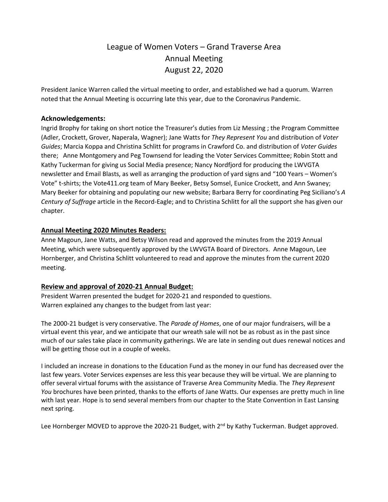# League of Women Voters – Grand Traverse Area Annual Meeting August 22, 2020

President Janice Warren called the virtual meeting to order, and established we had a quorum. Warren noted that the Annual Meeting is occurring late this year, due to the Coronavirus Pandemic.

#### **Acknowledgements:**

Ingrid Brophy for taking on short notice the Treasurer's duties from Liz Messing ; the Program Committee (Adler, Crockett, Grover, Naperala, Wagner); Jane Watts for *They Represent You* and distribution of *Voter Guides*; Marcia Koppa and Christina Schlitt for programs in Crawford Co. and distribution of *Voter Guides* there; Anne Montgomery and Peg Townsend for leading the Voter Services Committee; Robin Stott and Kathy Tuckerman for giving us Social Media presence; Nancy Nordfjord for producing the LWVGTA newsletter and Email Blasts, as well as arranging the production of yard signs and "100 Years – Women's Vote" t-shirts; the Vote411.org team of Mary Beeker, Betsy Somsel, Eunice Crockett, and Ann Swaney; Mary Beeker for obtaining and populating our new website; Barbara Berry for coordinating Peg Siciliano's *A Century of Suffrage* article in the Record-Eagle; and to Christina Schlitt for all the support she has given our chapter.

#### **Annual Meeting 2020 Minutes Readers:**

Anne Magoun, Jane Watts, and Betsy Wilson read and approved the minutes from the 2019 Annual Meeting, which were subsequently approved by the LWVGTA Board of Directors. Anne Magoun, Lee Hornberger, and Christina Schlitt volunteered to read and approve the minutes from the current 2020 meeting.

## **Review and approval of 2020-21 Annual Budget:**

President Warren presented the budget for 2020-21 and responded to questions. Warren explained any changes to the budget from last year:

The 2000-21 budget is very conservative. The *Parade of Homes*, one of our major fundraisers, will be a virtual event this year, and we anticipate that our wreath sale will not be as robust as in the past since much of our sales take place in community gatherings. We are late in sending out dues renewal notices and will be getting those out in a couple of weeks.

I included an increase in donations to the Education Fund as the money in our fund has decreased over the last few years. Voter Services expenses are less this year because they will be virtual. We are planning to offer several virtual forums with the assistance of Traverse Area Community Media. The *They Represent You* brochures have been printed, thanks to the efforts of Jane Watts. Our expenses are pretty much in line with last year. Hope is to send several members from our chapter to the State Convention in East Lansing next spring.

Lee Hornberger MOVED to approve the 2020-21 Budget, with 2<sup>nd</sup> by Kathy Tuckerman. Budget approved.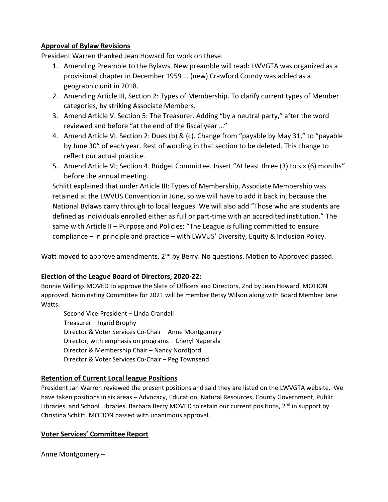## **Approval of Bylaw Revisions**

President Warren thanked Jean Howard for work on these.

- 1. Amending Preamble to the Bylaws. New preamble will read: LWVGTA was organized as a provisional chapter in December 1959 … (new) Crawford County was added as a geographic unit in 2018.
- 2. Amending Article III, Section 2: Types of Membership. To clarify current types of Member categories, by striking Associate Members.
- 3. Amend Article V. Section 5: The Treasurer. Adding "by a neutral party," after the word reviewed and before "at the end of the fiscal year …"
- 4. Amend Article VI. Section 2: Dues (b) & (c). Change from "payable by May 31," to "payable by June 30" of each year. Rest of wording in that section to be deleted. This change to reflect our actual practice.
- 5. Amend Article VI; Section 4. Budget Committee. Insert "At least three (3) to six (6) months" before the annual meeting.

Schlitt explained that under Article III: Types of Membership, Associate Membership was retained at the LWVUS Convention in June, so we will have to add it back in, because the National Bylaws carry through to local leagues. We will also add "Those who are students are defined as individuals enrolled either as full or part-time with an accredited institution." The same with Article II – Purpose and Policies: "The League is fulling committed to ensure compliance – in principle and practice – with LWVUS' Diversity, Equity & Inclusion Policy.

Watt moved to approve amendments, 2<sup>nd</sup> by Berry. No questions. Motion to Approved passed.

# **Election of the League Board of Directors, 2020-22:**

Bonnie Willings MOVED to approve the Slate of Officers and Directors, 2nd by Jean Howard. MOTION approved. Nominating Committee for 2021 will be member Betsy Wilson along with Board Member Jane Watts.

Second Vice-President – Linda Crandall Treasurer – Ingrid Brophy Director & Voter Services Co-Chair – Anne Montgomery Director, with emphasis on programs – Cheryl Naperala Director & Membership Chair – Nancy Nordfjord Director & Voter Services Co-Chair – Peg Townsend

# **Retention of Current Local league Positions**

President Jan Warren reviewed the present positions and said they are listed on the LWVGTA website. We have taken positions in six areas – Advocacy, Education, Natural Resources, County Government, Public Libraries, and School Libraries. Barbara Berry MOVED to retain our current positions, 2<sup>nd</sup> in support by Christina Schlitt. MOTION passed with unanimous approval.

## **Voter Services' Committee Report**

Anne Montgomery –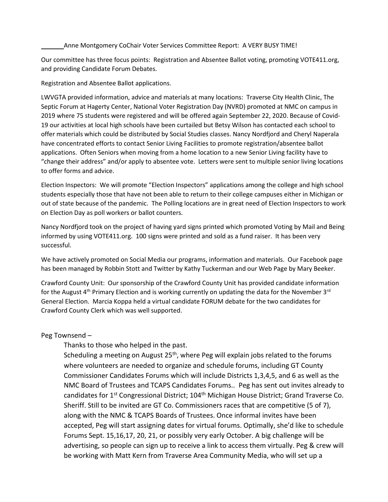Anne Montgomery CoChair Voter Services Committee Report: A VERY BUSY TIME!

Our committee has three focus points: Registration and Absentee Ballot voting, promoting VOTE411.org, and providing Candidate Forum Debates.

Registration and Absentee Ballot applications.

LWVGTA provided information, advice and materials at many locations: Traverse City Health Clinic, The Septic Forum at Hagerty Center, National Voter Registration Day (NVRD) promoted at NMC on campus in 2019 where 75 students were registered and will be offered again September 22, 2020. Because of Covid-19 our activities at local high schools have been curtailed but Betsy Wilson has contacted each school to offer materials which could be distributed by Social Studies classes. Nancy Nordfjord and Cheryl Naperala have concentrated efforts to contact Senior Living Facilities to promote registration/absentee ballot applications. Often Seniors when moving from a home location to a new Senior Living facility have to "change their address" and/or apply to absentee vote. Letters were sent to multiple senior living locations to offer forms and advice.

Election Inspectors: We will promote "Election Inspectors" applications among the college and high school students especially those that have not been able to return to their college campuses either in Michigan or out of state because of the pandemic. The Polling locations are in great need of Election Inspectors to work on Election Day as poll workers or ballot counters.

Nancy Nordfjord took on the project of having yard signs printed which promoted Voting by Mail and Being informed by using VOTE411.org. 100 signs were printed and sold as a fund raiser. It has been very successful.

We have actively promoted on Social Media our programs, information and materials. Our Facebook page has been managed by Robbin Stott and Twitter by Kathy Tuckerman and our Web Page by Mary Beeker.

Crawford County Unit: Our sponsorship of the Crawford County Unit has provided candidate information for the August  $4<sup>th</sup>$  Primary Election and is working currently on updating the data for the November  $3<sup>rd</sup>$ General Election. Marcia Koppa held a virtual candidate FORUM debate for the two candidates for Crawford County Clerk which was well supported.

## Peg Townsend –

Thanks to those who helped in the past.

Scheduling a meeting on August 25<sup>th</sup>, where Peg will explain jobs related to the forums where volunteers are needed to organize and schedule forums, including GT County Commissioner Candidates Forums which will include Districts 1,3,4,5, and 6 as well as the NMC Board of Trustees and TCAPS Candidates Forums.. Peg has sent out invites already to candidates for 1<sup>st</sup> Congressional District; 104<sup>th</sup> Michigan House District; Grand Traverse Co. Sheriff. Still to be invited are GT Co. Commissioners races that are competitive (5 of 7), along with the NMC & TCAPS Boards of Trustees. Once informal invites have been accepted, Peg will start assigning dates for virtual forums. Optimally, she'd like to schedule Forums Sept. 15,16,17, 20, 21, or possibly very early October. A big challenge will be advertising, so people can sign up to receive a link to access them virtually. Peg & crew will be working with Matt Kern from Traverse Area Community Media, who will set up a